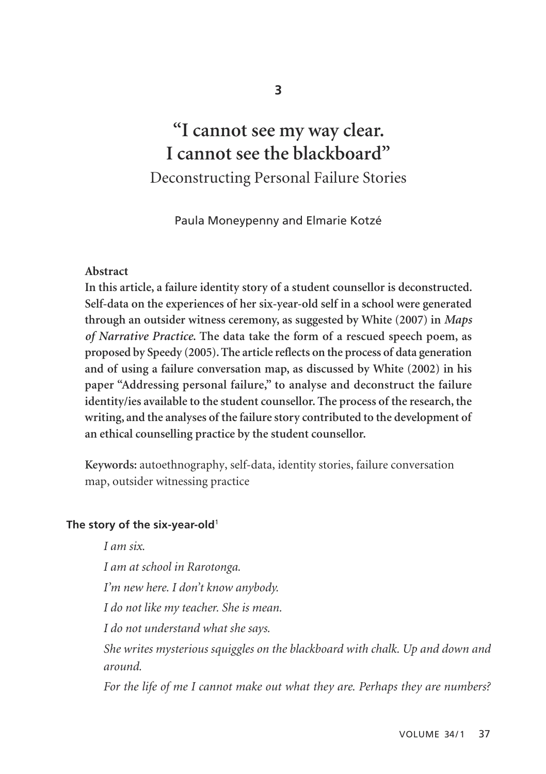# **"I cannot see my way clear. I cannot see the blackboard"** Deconstructing Personal Failure Stories

Paula Moneypenny and Elmarie Kotzé

#### **Abstract**

**In this article, a failure identity story of a student counsellor is deconstructed. Self-data on the experiences of her six-year-old self in a school were generated through an outsider witness ceremony, as suggested by White (2007) in** *Maps of Narrative Practice***. The data take the form of a rescued speech poem, as proposed by Speedy (2005). The article reflects on the process of data generation and of using a failure conversation map, as discussed by White (2002) in his paper "Addressing personal failure," to analyse and deconstruct the failure identity/ies available to the student counsellor. The process of the research, the writing, and the analyses of the failure story contributed to the development of an ethical counselling practice by the student counsellor.**

**Keywords:** autoethnography, self-data, identity stories, failure conversation map, outsider witnessing practice

#### **The story of the six-year-old**<sup>1</sup>

*I am six. I am at school in Rarotonga. I'm new here. I don't know anybody. I do not like my teacher. She is mean. I do not understand what she says. She writes mysterious squiggles on the blackboard with chalk. Up and down and around. For the life of me I cannot make out what they are. Perhaps they are numbers?*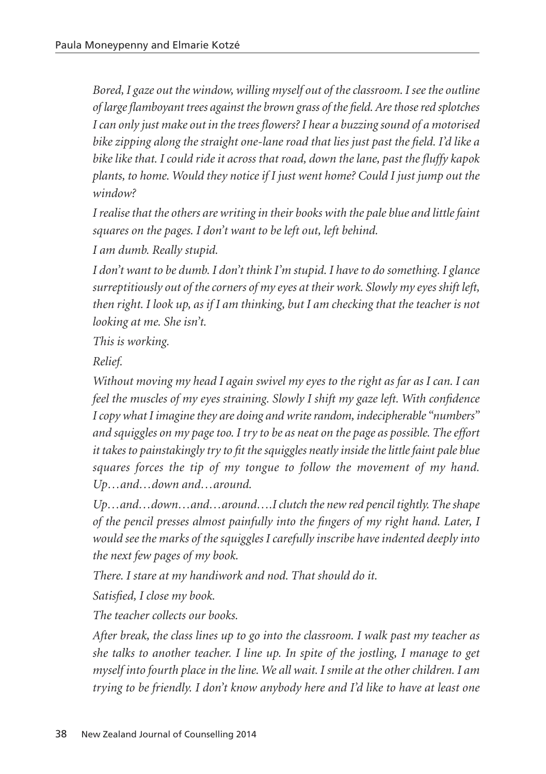*Bored, I gaze out the window, willing myself out of the classroom. I see the outline of large flamboyant trees against the brown grass of the field. Are those red splotches I can only just make out in the trees flowers? I hear a buzzing sound of a motorised bike zipping along the straight one-lane road that lies just past the field. I'd like a bike like that. I could ride it across that road, down the lane, past the fluffy kapok plants, to home. Would they notice if I just went home? Could I just jump out the window?*

*I realise that the others are writing in their books with the pale blue and little faint squares on the pages. I don't want to be left out, left behind.*

*I am dumb. Really stupid.*

*I don't want to be dumb. I don't think I'm stupid. I have to do something. I glance surreptitiously out of the corners of my eyes at their work. Slowly my eyes shift left, then right. I look up, as if I am thinking, but I am checking that the teacher is not looking at me. She isn't.*

*This is working.*

*Relief.*

*Without moving my head I again swivel my eyes to the right as far as I can. I can feel the muscles of my eyes straining. Slowly I shift my gaze left. With confidence I copy what I imagine they are doing and write random, indecipherable "numbers" and squiggles on my page too. I try to be as neat on the page as possible. The effort it takes to painstakingly try to fit the squiggles neatly inside the little faint pale blue squares forces the tip of my tongue to follow the movement of my hand. Up…and…down and…around.* 

*Up…and…down…and…around….I clutch the new red pencil tightly. The shape of the pencil presses almost painfully into the fingers of my right hand. Later, I would see the marks of the squiggles I carefully inscribe have indented deeply into the next few pages of my book.*

*There. I stare at my handiwork and nod. That should do it.*

*Satisfied, I close my book.*

*The teacher collects our books.*

*After break, the class lines up to go into the classroom. I walk past my teacher as she talks to another teacher. I line up. In spite of the jostling, I manage to get myself into fourth place in the line. We all wait. I smile at the other children. I am trying to be friendly. I don't know anybody here and I'd like to have at least one*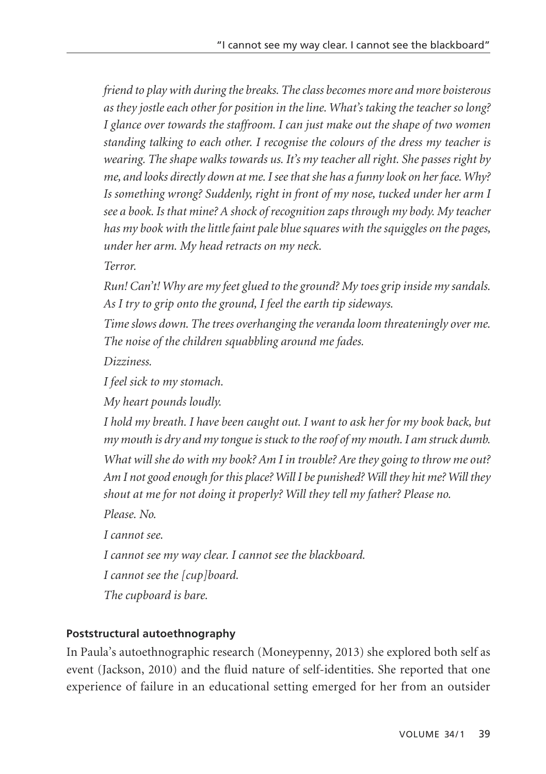*friend to play with during the breaks. The class becomes more and more boisterous as they jostle each other for position in the line. What's taking the teacher so long? I glance over towards the staffroom. I can just make out the shape of two women standing talking to each other. I recognise the colours of the dress my teacher is wearing. The shape walks towards us. It's my teacher all right. She passes right by me, and looks directly down at me. I see that she has a funny look on her face. Why? Is something wrong? Suddenly, right in front of my nose, tucked under her arm I see a book. Is that mine? A shock of recognition zaps through my body. My teacher has my book with the little faint pale blue squares with the squiggles on the pages, under her arm. My head retracts on my neck.*

*Terror.*

*Run! Can't! Why are my feet glued to the ground? My toes grip inside my sandals. As I try to grip onto the ground, I feel the earth tip sideways.*

*Time slows down. The trees overhanging the veranda loom threateningly over me. The noise of the children squabbling around me fades.*

*Dizziness.*

*I feel sick to my stomach.*

*My heart pounds loudly.*

*I hold my breath. I have been caught out. I want to ask her for my book back, but my mouth is dry and my tongue is stuck to the roof of my mouth. I am struck dumb.*

*What will she do with my book? Am I in trouble? Are they going to throw me out? Am I not good enough for this place? Will I be punished? Will they hit me? Will they shout at me for not doing it properly? Will they tell my father? Please no.*

*Please. No.*

*I cannot see.*

*I cannot see my way clear. I cannot see the blackboard.*

*I cannot see the [cup]board.*

*The cupboard is bare.*

# **Poststructural autoethnography**

In Paula's autoethnographic research (Moneypenny, 2013) she explored both self as event (Jackson, 2010) and the fluid nature of self-identities. She reported that one experience of failure in an educational setting emerged for her from an outsider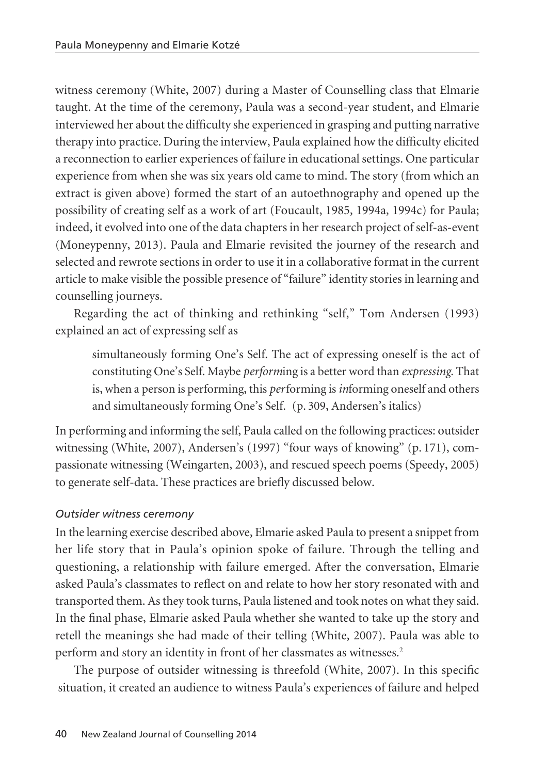witness ceremony (White, 2007) during a Master of Counselling class that Elmarie taught. At the time of the ceremony, Paula was a second-year student, and Elmarie interviewed her about the difficulty she experienced in grasping and putting narrative therapy into practice. During the interview, Paula explained how the difficulty elicited a reconnection to earlier experiences of failure in educational settings. One particular experience from when she was six years old came to mind. The story (from which an extract is given above) formed the start of an autoethnography and opened up the possibility of creating self as a work of art (Foucault, 1985, 1994a, 1994c) for Paula; indeed, it evolved into one of the data chapters in her research project of self-as-event (Moneypenny, 2013). Paula and Elmarie revisited the journey of the research and selected and rewrote sections in order to use it in a collaborative format in the current article to make visible the possible presence of "failure" identity stories in learning and counselling journeys.

Regarding the act of thinking and rethinking "self," Tom Andersen (1993) explained an act of expressing self as

simultaneously forming One's Self. The act of expressing oneself is the act of constituting One's Self. Maybe *perform*ing is a better word than *expressing*. That is, when a person is performing, this *per*forming is *in*forming oneself and others and simultaneously forming One's Self. (p. 309, Andersen's italics)

In performing and informing the self, Paula called on the following practices: outsider witnessing (White, 2007), Andersen's (1997) "four ways of knowing" (p. 171), compassionate witnessing (Weingarten, 2003), and rescued speech poems (Speedy, 2005) to generate self-data. These practices are briefly discussed below.

# *Outsider witness ceremony*

In the learning exercise described above, Elmarie asked Paula to present a snippet from her life story that in Paula's opinion spoke of failure. Through the telling and questioning, a relationship with failure emerged. After the conversation, Elmarie asked Paula's classmates to reflect on and relate to how her story resonated with and transported them. As they took turns, Paula listened and took notes on what they said. In the final phase, Elmarie asked Paula whether she wanted to take up the story and retell the meanings she had made of their telling (White, 2007). Paula was able to perform and story an identity in front of her classmates as witnesses.<sup>2</sup>

The purpose of outsider witnessing is threefold (White, 2007). In this specific situation, it created an audience to witness Paula's experiences of failure and helped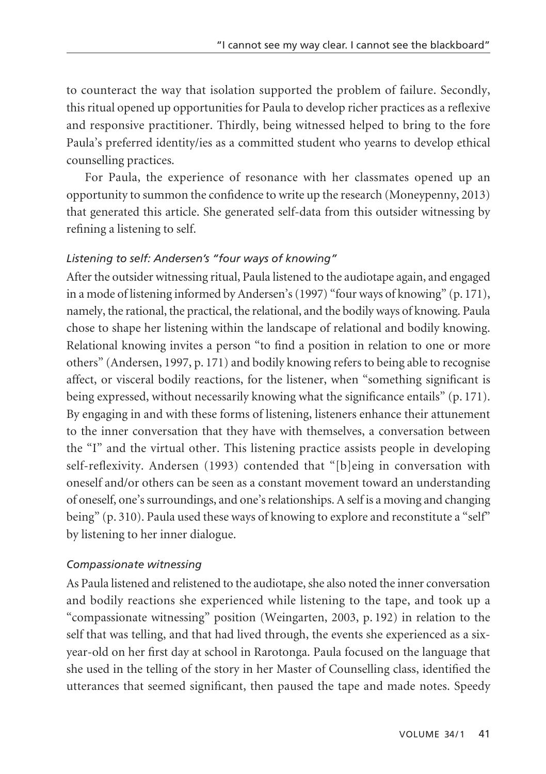to counteract the way that isolation supported the problem of failure. Secondly, this ritual opened up opportunities for Paula to develop richer practices as a reflexive and responsive practitioner. Thirdly, being witnessed helped to bring to the fore Paula's preferred identity/ies as a committed student who yearns to develop ethical counselling practices.

For Paula, the experience of resonance with her classmates opened up an opportunity to summon the confidence to write up the research (Moneypenny, 2013) that generated this article. She generated self-data from this outsider witnessing by refining a listening to self.

#### *Listening to self: Andersen's "four ways of knowing"*

After the outsider witnessing ritual, Paula listened to the audiotape again, and engaged in a mode of listening informed by Andersen's (1997) "four ways of knowing" (p. 171), namely, the rational, the practical, the relational, and the bodily ways of knowing. Paula chose to shape her listening within the landscape of relational and bodily knowing. Relational knowing invites a person "to find a position in relation to one or more others" (Andersen, 1997, p. 171) and bodily knowing refers to being able to recognise affect, or visceral bodily reactions, for the listener, when "something significant is being expressed, without necessarily knowing what the significance entails" (p. 171). By engaging in and with these forms of listening, listeners enhance their attunement to the inner conversation that they have with themselves, a conversation between the "I" and the virtual other. This listening practice assists people in developing self-reflexivity. Andersen (1993) contended that "[b]eing in conversation with oneself and/or others can be seen as a constant movement toward an understanding of oneself, one's surroundings, and one's relationships. A self is a moving and changing being" (p. 310). Paula used these ways of knowing to explore and reconstitute a "self" by listening to her inner dialogue.

#### *Compassionate witnessing*

As Paula listened and relistened to the audiotape, she also noted the inner conversation and bodily reactions she experienced while listening to the tape, and took up a "compassionate witnessing" position (Weingarten, 2003, p. 192) in relation to the self that was telling, and that had lived through, the events she experienced as a sixyear-old on her first day at school in Rarotonga. Paula focused on the language that she used in the telling of the story in her Master of Counselling class, identified the utterances that seemed significant, then paused the tape and made notes. Speedy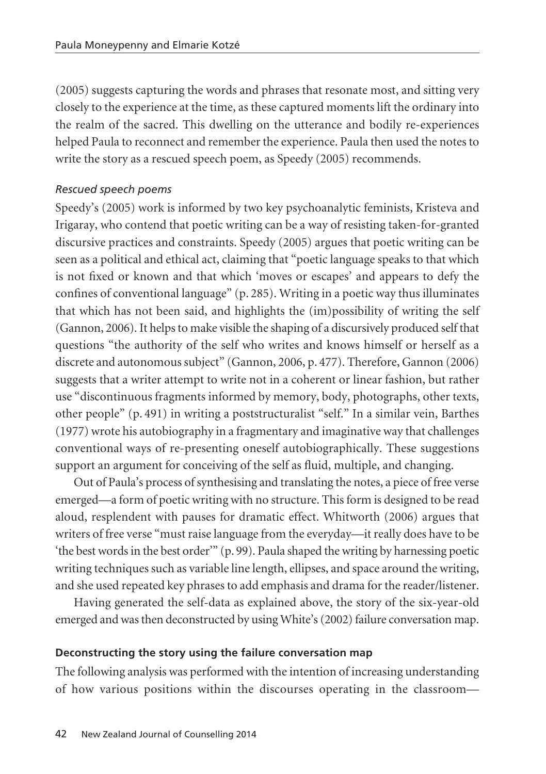(2005) suggests capturing the words and phrases that resonate most, and sitting very closely to the experience at the time, as these captured moments lift the ordinary into the realm of the sacred. This dwelling on the utterance and bodily re-experiences helped Paula to reconnect and remember the experience. Paula then used the notes to write the story as a rescued speech poem, as Speedy (2005) recommends.

#### *Rescued speech poems*

Speedy's (2005) work is informed by two key psychoanalytic feminists, Kristeva and Irigaray, who contend that poetic writing can be a way of resisting taken-for-granted discursive practices and constraints. Speedy (2005) argues that poetic writing can be seen as a political and ethical act, claiming that "poetic language speaks to that which is not fixed or known and that which 'moves or escapes' and appears to defy the confines of conventional language" (p. 285). Writing in a poetic way thus illuminates that which has not been said, and highlights the (im)possibility of writing the self (Gannon, 2006). It helps to make visible the shaping of a discursively produced self that questions "the authority of the self who writes and knows himself or herself as a discrete and autonomous subject" (Gannon, 2006, p. 477). Therefore, Gannon (2006) suggests that a writer attempt to write not in a coherent or linear fashion, but rather use "discontinuous fragments informed by memory, body, photographs, other texts, other people" (p. 491) in writing a poststructuralist "self." In a similar vein, Barthes (1977) wrote his autobiography in a fragmentary and imaginative way that challenges conventional ways of re-presenting oneself autobiographically. These suggestions support an argument for conceiving of the self as fluid, multiple, and changing.

Out of Paula's process of synthesising and translating the notes, a piece of free verse emerged—a form of poetic writing with no structure. This form is designed to be read aloud, resplendent with pauses for dramatic effect. Whitworth (2006) argues that writers of free verse "must raise language from the everyday—it really does have to be 'the best words in the best order'" (p. 99). Paula shaped the writing by harnessing poetic writing techniques such as variable line length, ellipses, and space around the writing, and she used repeated key phrases to add emphasis and drama for the reader/listener.

Having generated the self-data as explained above, the story of the six-year-old emerged and was then deconstructed by using White's (2002) failure conversation map.

#### **Deconstructing the story using the failure conversation map**

The following analysis was performed with the intention of increasing understanding of how various positions within the discourses operating in the classroom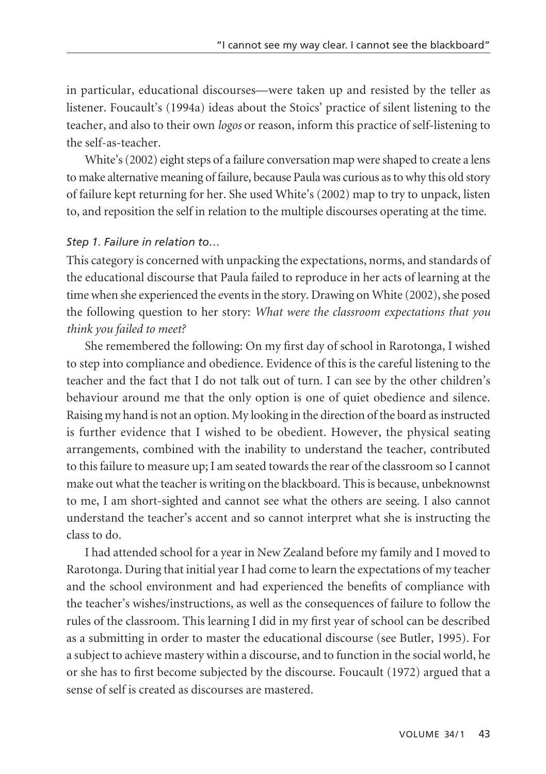in particular, educational discourses—were taken up and resisted by the teller as listener. Foucault's (1994a) ideas about the Stoics' practice of silent listening to the teacher, and also to their own *logos* or reason, inform this practice of self-listening to the self-as-teacher.

White's (2002) eight steps of a failure conversation map were shaped to create a lens to make alternative meaning of failure, because Paula was curious as to why this old story of failure kept returning for her. She used White's (2002) map to try to unpack, listen to, and reposition the self in relation to the multiple discourses operating at the time.

#### *Step 1. Failure in relation to…*

This category is concerned with unpacking the expectations, norms, and standards of the educational discourse that Paula failed to reproduce in her acts of learning at the time when she experienced the events in the story. Drawing on White (2002), she posed the following question to her story: *What were the classroom expectations that you think you failed to meet?*

She remembered the following: On my first day of school in Rarotonga, I wished to step into compliance and obedience. Evidence of this is the careful listening to the teacher and the fact that I do not talk out of turn. I can see by the other children's behaviour around me that the only option is one of quiet obedience and silence. Raising my hand is not an option. My looking in the direction of the board as instructed is further evidence that I wished to be obedient. However, the physical seating arrangements, combined with the inability to understand the teacher, contributed to this failure to measure up; I am seated towards the rear of the classroom so I cannot make out what the teacher is writing on the blackboard. This is because, unbeknownst to me, I am short-sighted and cannot see what the others are seeing. I also cannot understand the teacher's accent and so cannot interpret what she is instructing the class to do.

I had attended school for a year in New Zealand before my family and I moved to Rarotonga. During that initial year I had come to learn the expectations of my teacher and the school environment and had experienced the benefits of compliance with the teacher's wishes/instructions, as well as the consequences of failure to follow the rules of the classroom. This learning I did in my first year of school can be described as a submitting in order to master the educational discourse (see Butler, 1995). For a subject to achieve mastery within a discourse, and to function in the social world, he or she has to first become subjected by the discourse. Foucault (1972) argued that a sense of self is created as discourses are mastered.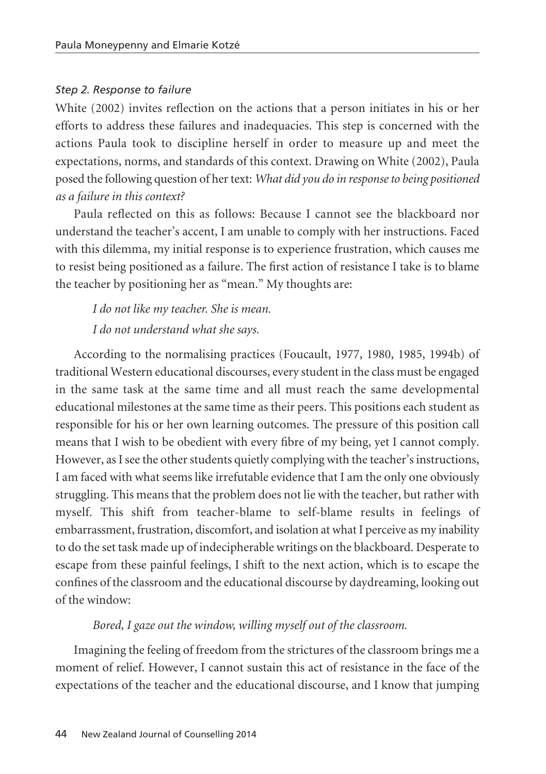#### *Step 2. Response to failure*

White (2002) invites reflection on the actions that a person initiates in his or her efforts to address these failures and inadequacies. This step is concerned with the actions Paula took to discipline herself in order to measure up and meet the expectations, norms, and standards of this context. Drawing on White (2002), Paula posed the following question of her text: *What did you do in response to being positioned as a failure in this context?*

Paula reflected on this as follows: Because I cannot see the blackboard nor understand the teacher's accent, I am unable to comply with her instructions. Faced with this dilemma, my initial response is to experience frustration, which causes me to resist being positioned as a failure. The first action of resistance I take is to blame the teacher by positioning her as "mean." My thoughts are:

# *I do not like my teacher. She is mean. I do not understand what she says.*

According to the normalising practices (Foucault, 1977, 1980, 1985, 1994b) of traditional Western educational discourses, every student in the class must be engaged in the same task at the same time and all must reach the same developmental educational milestones at the same time as their peers. This positions each student as responsible for his or her own learning outcomes. The pressure of this position call means that I wish to be obedient with every fibre of my being, yet I cannot comply. However, as I see the other students quietly complying with the teacher's instructions, I am faced with what seems like irrefutable evidence that I am the only one obviously struggling. This means that the problem does not lie with the teacher, but rather with myself. This shift from teacher-blame to self-blame results in feelings of embarrassment, frustration, discomfort, and isolation at what I perceive as my inability to do the set task made up of indecipherable writings on the blackboard. Desperate to escape from these painful feelings, I shift to the next action, which is to escape the confines of the classroom and the educational discourse by daydreaming, looking out of the window:

#### *Bored, I gaze out the window, willing myself out of the classroom.*

Imagining the feeling of freedom from the strictures of the classroom brings me a moment of relief. However, I cannot sustain this act of resistance in the face of the expectations of the teacher and the educational discourse, and I know that jumping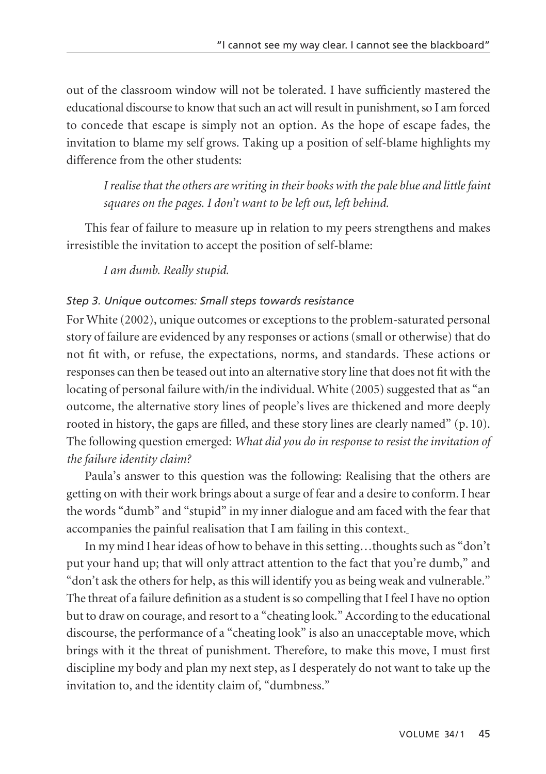out of the classroom window will not be tolerated. I have sufficiently mastered the educational discourse to know that such an act will result in punishment, so I am forced to concede that escape is simply not an option. As the hope of escape fades, the invitation to blame my self grows. Taking up a position of self-blame highlights my difference from the other students:

*I realise that the others are writing in their books with the pale blue and little faint squares on the pages. I don't want to be left out, left behind.*

This fear of failure to measure up in relation to my peers strengthens and makes irresistible the invitation to accept the position of self-blame:

*I am dumb. Really stupid.*

# *Step 3. Unique outcomes: Small steps towards resistance*

For White (2002), unique outcomes or exceptions to the problem-saturated personal story of failure are evidenced by any responses or actions (small or otherwise) that do not fit with, or refuse, the expectations, norms, and standards. These actions or responses can then be teased out into an alternative story line that does not fit with the locating of personal failure with/in the individual. White (2005) suggested that as "an outcome, the alternative story lines of people's lives are thickened and more deeply rooted in history, the gaps are filled, and these story lines are clearly named" (p. 10). The following question emerged: *What did you do in response to resist the invitation of the failure identity claim?*

Paula's answer to this question was the following: Realising that the others are getting on with their work brings about a surge of fear and a desire to conform. I hear the words "dumb" and "stupid" in my inner dialogue and am faced with the fear that accompanies the painful realisation that I am failing in this context.

In my mind I hear ideas of how to behave in this setting…thoughts such as "don't put your hand up; that will only attract attention to the fact that you're dumb," and "don't ask the others for help, as this will identify you as being weak and vulnerable." The threat of a failure definition as a student is so compelling that I feel I have no option but to draw on courage, and resort to a "cheating look." According to the educational discourse, the performance of a "cheating look" is also an unacceptable move, which brings with it the threat of punishment. Therefore, to make this move, I must first discipline my body and plan my next step, as I desperately do not want to take up the invitation to, and the identity claim of, "dumbness."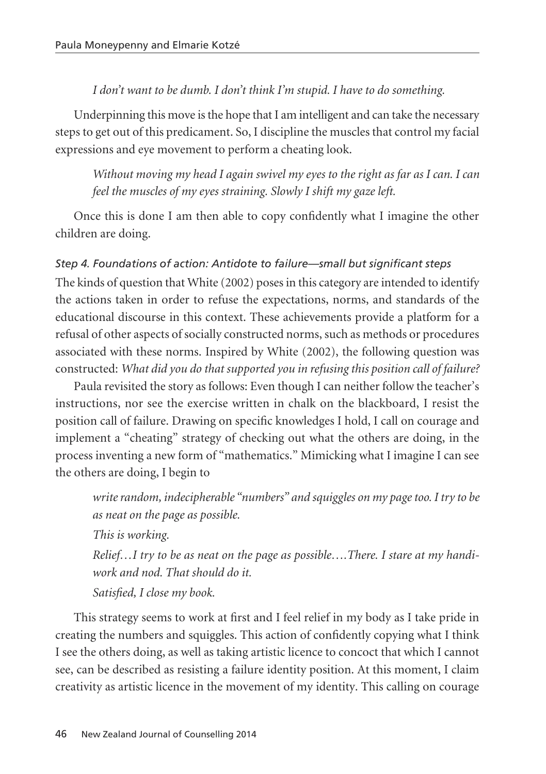#### *I don't want to be dumb. I don't think I'm stupid. I have to do something.*

Underpinning this move is the hope that I am intelligent and can take the necessary steps to get out of this predicament. So, I discipline the muscles that control my facial expressions and eye movement to perform a cheating look.

*Without moving my head I again swivel my eyes to the right as far as I can. I can feel the muscles of my eyes straining. Slowly I shift my gaze left.*

Once this is done I am then able to copy confidently what I imagine the other children are doing.

# *Step 4. Foundations of action: Antidote to failure—small but significant steps*

The kinds of question that White (2002) poses in this category are intended to identify the actions taken in order to refuse the expectations, norms, and standards of the educational discourse in this context. These achievements provide a platform for a refusal of other aspects of socially constructed norms, such as methods or procedures associated with these norms. Inspired by White (2002), the following question was constructed: *What did you do that supported you in refusing this position call of failure?*

Paula revisited the story as follows: Even though I can neither follow the teacher's instructions, nor see the exercise written in chalk on the blackboard, I resist the position call of failure. Drawing on specific knowledges I hold, I call on courage and implement a "cheating" strategy of checking out what the others are doing, in the process inventing a new form of "mathematics." Mimicking what I imagine I can see the others are doing, I begin to

*write random, indecipherable "numbers" and squiggles on my page too. I try to be as neat on the page as possible.* 

*This is working.*

*Relief…I try to be as neat on the page as possible….There. I stare at my handiwork and nod. That should do it.*

*Satisfied, I close my book.* 

This strategy seems to work at first and I feel relief in my body as I take pride in creating the numbers and squiggles. This action of confidently copying what I think I see the others doing, as well as taking artistic licence to concoct that which I cannot see, can be described as resisting a failure identity position. At this moment, I claim creativity as artistic licence in the movement of my identity. This calling on courage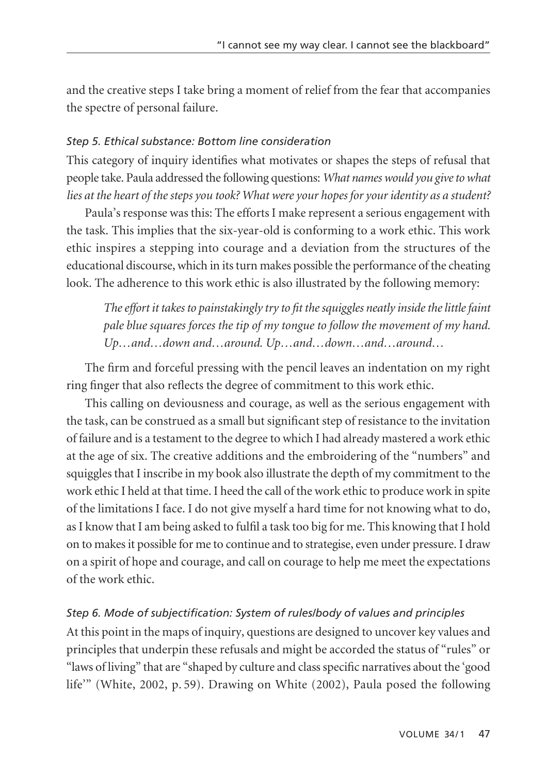and the creative steps I take bring a moment of relief from the fear that accompanies the spectre of personal failure.

# *Step 5. Ethical substance: Bottom line consideration*

This category of inquiry identifies what motivates or shapes the steps of refusal that people take. Paula addressed the following questions: *What names would you give to what lies at the heart of the steps you took? What were your hopes for your identity as a student?*

Paula's response was this: The efforts I make represent a serious engagement with the task. This implies that the six-year-old is conforming to a work ethic. This work ethic inspires a stepping into courage and a deviation from the structures of the educational discourse, which in its turn makes possible the performance of the cheating look. The adherence to this work ethic is also illustrated by the following memory:

*The effort it takes to painstakingly try to fit the squiggles neatly inside the little faint pale blue squares forces the tip of my tongue to follow the movement of my hand. Up…and…down and…around. Up…and…down…and…around…*

The firm and forceful pressing with the pencil leaves an indentation on my right ring finger that also reflects the degree of commitment to this work ethic.

This calling on deviousness and courage, as well as the serious engagement with the task, can be construed as a small but significant step of resistance to the invitation of failure and is a testament to the degree to which I had already mastered a work ethic at the age of six. The creative additions and the embroidering of the "numbers" and squiggles that I inscribe in my book also illustrate the depth of my commitment to the work ethic I held at that time. I heed the call of the work ethic to produce work in spite of the limitations I face. I do not give myself a hard time for not knowing what to do, as I know that I am being asked to fulfil a task too big for me. This knowing that I hold on to makes it possible for me to continue and to strategise, even under pressure. I draw on a spirit of hope and courage, and call on courage to help me meet the expectations of the work ethic.

# *Step 6. Mode of subjectification: System of rules/body of values and principles*

At this point in the maps of inquiry, questions are designed to uncover key values and principles that underpin these refusals and might be accorded the status of "rules" or "laws of living" that are "shaped by culture and class specific narratives about the 'good life'" (White, 2002, p. 59). Drawing on White (2002), Paula posed the following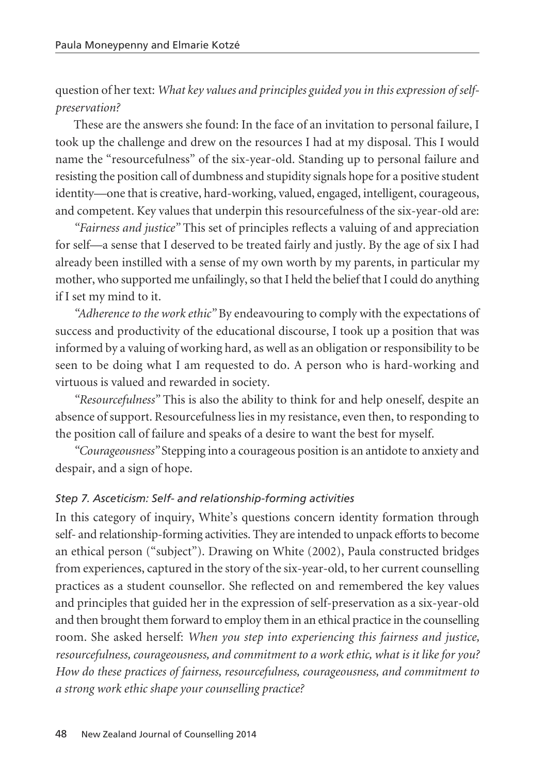question of her text: *What key values and principles guided you in this expression of selfpreservation?*

These are the answers she found: In the face of an invitation to personal failure, I took up the challenge and drew on the resources I had at my disposal. This I would name the "resourcefulness" of the six-year-old. Standing up to personal failure and resisting the position call of dumbness and stupidity signals hope for a positive student identity—one that is creative, hard-working, valued, engaged, intelligent, courageous, and competent. Key values that underpin this resourcefulness of the six-year-old are:

*"Fairness and justice"* This set of principles reflects a valuing of and appreciation for self—a sense that I deserved to be treated fairly and justly. By the age of six I had already been instilled with a sense of my own worth by my parents, in particular my mother, who supported me unfailingly, so that I held the belief that I could do anything if I set my mind to it.

*"Adherence to the work ethic"* By endeavouring to comply with the expectations of success and productivity of the educational discourse, I took up a position that was informed by a valuing of working hard, as well as an obligation or responsibility to be seen to be doing what I am requested to do. A person who is hard-working and virtuous is valued and rewarded in society.

*"Resourcefulness"* This is also the ability to think for and help oneself, despite an absence of support. Resourcefulness lies in my resistance, even then, to responding to the position call of failure and speaks of a desire to want the best for myself.

*"Courageousness"* Stepping into a courageous position is an antidote to anxiety and despair, and a sign of hope.

# *Step 7. Asceticism: Self- and relationship-forming activities*

In this category of inquiry, White's questions concern identity formation through self- and relationship-forming activities. They are intended to unpack efforts to become an ethical person ("subject"). Drawing on White (2002), Paula constructed bridges from experiences, captured in the story of the six-year-old, to her current counselling practices as a student counsellor. She reflected on and remembered the key values and principles that guided her in the expression of self-preservation as a six-year-old and then brought them forward to employ them in an ethical practice in the counselling room. She asked herself: *When you step into experiencing this fairness and justice, resourcefulness, courageousness, and commitment to a work ethic, what is it like for you? How do these practices of fairness, resourcefulness, courageousness, and commitment to a strong work ethic shape your counselling practice?*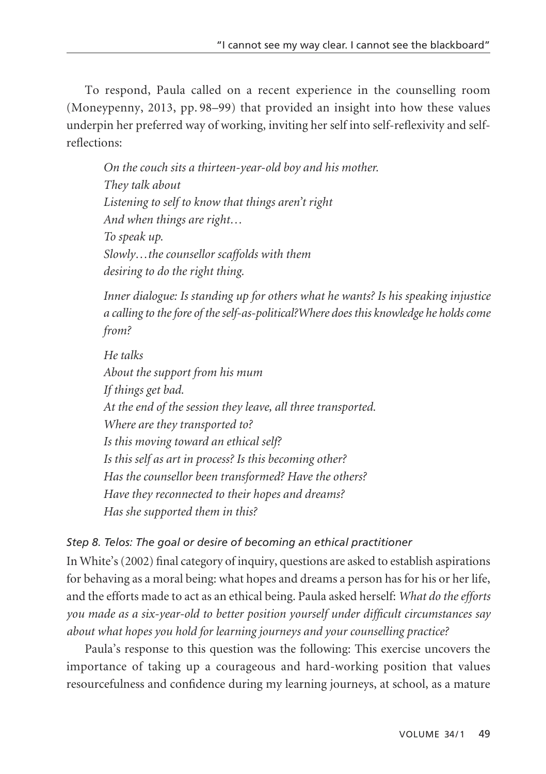To respond, Paula called on a recent experience in the counselling room (Moneypenny, 2013, pp. 98–99) that provided an insight into how these values underpin her preferred way of working, inviting her self into self-reflexivity and selfreflections:

*On the couch sits a thirteen-year-old boy and his mother. They talk about Listening to self to know that things aren't right And when things are right… To speak up. Slowly…the counsellor scaffolds with them desiring to do the right thing.*

*Inner dialogue: Is standing up for others what he wants? Is his speaking injustice a calling to the fore of the self-as-political?Where does this knowledge he holds come from?*

*He talks About the support from his mum If things get bad. At the end of the session they leave, all three transported. Where are they transported to? Is this moving toward an ethical self? Is this self as art in process? Is this becoming other? Has the counsellor been transformed? Have the others? Have they reconnected to their hopes and dreams? Has she supported them in this?*

# *Step 8. Telos: The goal or desire of becoming an ethical practitioner*

In White's (2002) final category of inquiry, questions are asked to establish aspirations for behaving as a moral being: what hopes and dreams a person has for his or her life, and the efforts made to act as an ethical being. Paula asked herself: *What do the efforts you made as a six-year-old to better position yourself under difficult circumstances say about what hopes you hold for learning journeys and your counselling practice?*

Paula's response to this question was the following: This exercise uncovers the importance of taking up a courageous and hard-working position that values resourcefulness and confidence during my learning journeys, at school, as a mature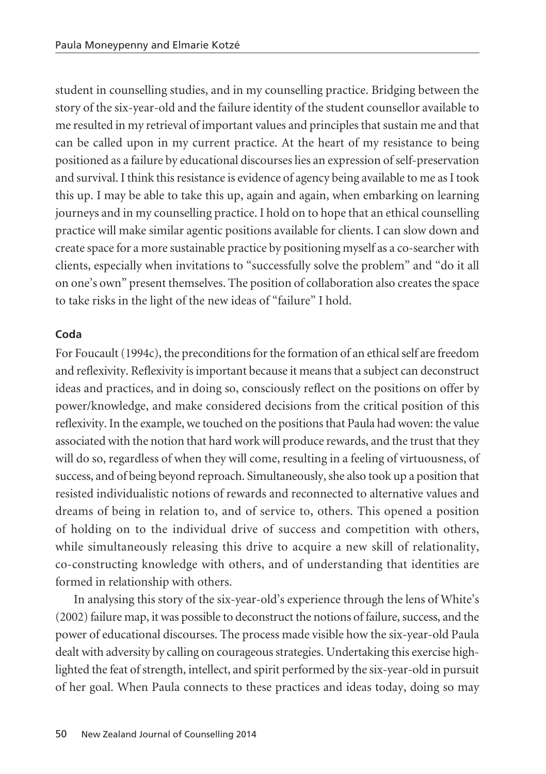student in counselling studies, and in my counselling practice. Bridging between the story of the six-year-old and the failure identity of the student counsellor available to me resulted in my retrieval of important values and principles that sustain me and that can be called upon in my current practice. At the heart of my resistance to being positioned as a failure by educational discourses lies an expression of self-preservation and survival. I think this resistance is evidence of agency being available to me as I took this up. I may be able to take this up, again and again, when embarking on learning journeys and in my counselling practice. I hold on to hope that an ethical counselling practice will make similar agentic positions available for clients. I can slow down and create space for a more sustainable practice by positioning myself as a co-searcher with clients, especially when invitations to "successfully solve the problem" and "do it all on one's own" present themselves. The position of collaboration also creates the space to take risks in the light of the new ideas of "failure" I hold.

#### **Coda**

For Foucault (1994c), the preconditions for the formation of an ethical self are freedom and reflexivity. Reflexivity is important because it means that a subject can deconstruct ideas and practices, and in doing so, consciously reflect on the positions on offer by power/knowledge, and make considered decisions from the critical position of this reflexivity. In the example, we touched on the positions that Paula had woven: the value associated with the notion that hard work will produce rewards, and the trust that they will do so, regardless of when they will come, resulting in a feeling of virtuousness, of success, and of being beyond reproach. Simultaneously, she also took up a position that resisted individualistic notions of rewards and reconnected to alternative values and dreams of being in relation to, and of service to, others. This opened a position of holding on to the individual drive of success and competition with others, while simultaneously releasing this drive to acquire a new skill of relationality, co-constructing knowledge with others, and of understanding that identities are formed in relationship with others.

In analysing this story of the six-year-old's experience through the lens of White's (2002) failure map, it was possible to deconstruct the notions of failure, success, and the power of educational discourses. The process made visible how the six-year-old Paula dealt with adversity by calling on courageous strategies. Undertaking this exercise highlighted the feat of strength, intellect, and spirit performed by the six-year-old in pursuit of her goal. When Paula connects to these practices and ideas today, doing so may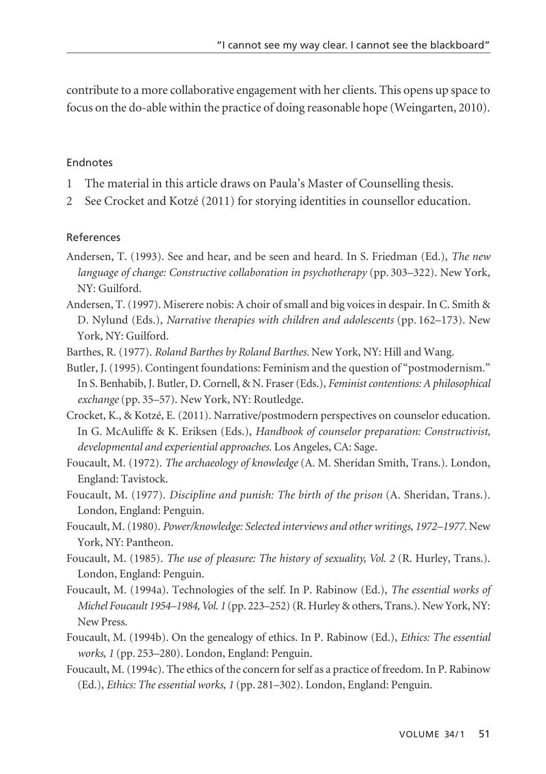contribute to a more collaborative engagement with her clients. This opens up space to focus on the do-able within the practice of doing reasonable hope (Weingarten, 2010).

#### Endnotes

- 1 The material in this article draws on Paula's Master of Counselling thesis.
- 2 See Crocket and Kotzé (2011) for storying identities in counsellor education.

#### References

- Andersen, T. (1993). See and hear, and be seen and heard. In S. Friedman (Ed.), *The new language of change: Constructive collaboration in psychotherapy* (pp. 303–322). New York, NY: Guilford.
- Andersen, T. (1997). Miserere nobis: A choir of small and big voices in despair. In C. Smith & D. Nylund (Eds.), *Narrative therapies with children and adolescents* (pp. 162–173). New York, NY: Guilford.
- Barthes, R. (1977). *Roland Barthes by Roland Barthes.* New York, NY: Hill and Wang.
- Butler, J. (1995). Contingent foundations: Feminism and the question of "postmodernism." In S. Benhabib, J. Butler, D. Cornell, & N. Fraser (Eds.), *Feminist contentions: A philosophical exchange* (pp. 35–57). New York, NY: Routledge.
- Crocket, K., & Kotzé, E. (2011). Narrative/postmodern perspectives on counselor education. In G. McAuliffe & K. Eriksen (Eds.), *Handbook of counselor preparation: Constructivist, developmental and experiential approaches.* Los Angeles, CA: Sage.
- Foucault, M. (1972). *The archaeology of knowledge* (A. M. Sheridan Smith, Trans.). London, England: Tavistock.
- Foucault, M. (1977). *Discipline and punish: The birth of the prison* (A. Sheridan, Trans.). London, England: Penguin.
- Foucault, M. (1980). *Power/knowledge: Selected interviews and other writings, 1972–1977.* New York, NY: Pantheon.
- Foucault, M. (1985). *The use of pleasure: The history of sexuality, Vol. 2* (R. Hurley, Trans.). London, England: Penguin.
- Foucault, M. (1994a). Technologies of the self. In P. Rabinow (Ed.), *The essential works of Michel Foucault 1954–1984, Vol. 1* (pp. 223–252) (R. Hurley & others, Trans.). New York, NY: New Press.
- Foucault, M. (1994b). On the genealogy of ethics. In P. Rabinow (Ed.), *Ethics: The essential works, 1* (pp. 253–280). London, England: Penguin.
- Foucault, M. (1994c). The ethics of the concern for self as a practice of freedom. In P. Rabinow (Ed.), *Ethics: The essential works, 1* (pp. 281–302). London, England: Penguin.